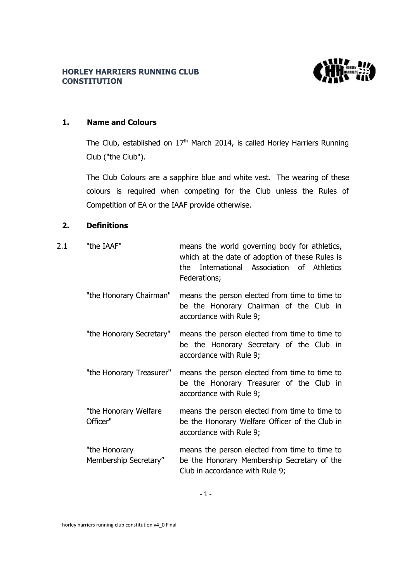## **HORLEY HARRIERS RUNNING CLUB CONSTITUTION**



## **1. Name and Colours**

The Club, established on  $17<sup>th</sup>$  March 2014, is called Horley Harriers Running Club ("the Club").

The Club Colours are a sapphire blue and white vest. The wearing of these colours is required when competing for the Club unless the Rules of Competition of EA or the IAAF provide otherwise.

## **2. Definitions**

| 2.1 | "the IAAF"                             | means the world governing body for athletics,<br>which at the date of adoption of these Rules is<br>International Association of Athletics<br>the l<br>Federations; |
|-----|----------------------------------------|---------------------------------------------------------------------------------------------------------------------------------------------------------------------|
|     | "the Honorary Chairman"                | means the person elected from time to time to<br>be the Honorary Chairman of the Club in<br>accordance with Rule 9;                                                 |
|     | "the Honorary Secretary"               | means the person elected from time to time to<br>be the Honorary Secretary of the Club in<br>accordance with Rule 9;                                                |
|     | "the Honorary Treasurer"               | means the person elected from time to time to<br>be the Honorary Treasurer of the Club in<br>accordance with Rule 9;                                                |
|     | "the Honorary Welfare<br>Officer"      | means the person elected from time to time to<br>be the Honorary Welfare Officer of the Club in<br>accordance with Rule 9;                                          |
|     | "the Honorary<br>Membership Secretary" | means the person elected from time to time to<br>be the Honorary Membership Secretary of the<br>Club in accordance with Rule 9;                                     |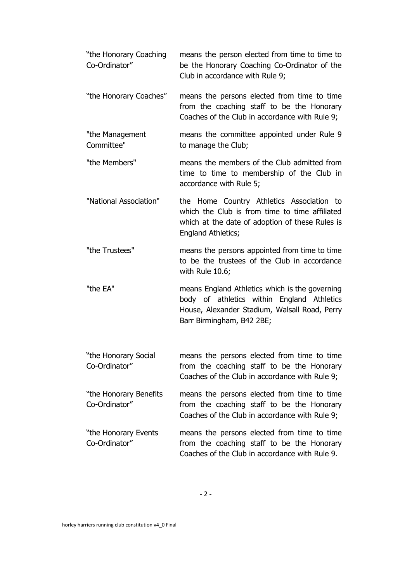| "the Honorary Coaching<br>Co-Ordinator" | means the person elected from time to time to<br>be the Honorary Coaching Co-Ordinator of the<br>Club in accordance with Rule 9;                                           |
|-----------------------------------------|----------------------------------------------------------------------------------------------------------------------------------------------------------------------------|
| "the Honorary Coaches"                  | means the persons elected from time to time<br>from the coaching staff to be the Honorary<br>Coaches of the Club in accordance with Rule 9;                                |
| "the Management<br>Committee"           | means the committee appointed under Rule 9<br>to manage the Club;                                                                                                          |
| "the Members"                           | means the members of the Club admitted from<br>time to time to membership of the Club in<br>accordance with Rule 5;                                                        |
| "National Association"                  | the Home Country Athletics Association to<br>which the Club is from time to time affiliated<br>which at the date of adoption of these Rules is<br>England Athletics;       |
| "the Trustees"                          | means the persons appointed from time to time<br>to be the trustees of the Club in accordance<br>with Rule $10.6$ ;                                                        |
| "the EA"                                | means England Athletics which is the governing<br>body of athletics within England Athletics<br>House, Alexander Stadium, Walsall Road, Perry<br>Barr Birmingham, B42 2BE; |
| "the Honorary Social<br>Co-Ordinator"   | means the persons elected from time to time<br>from the coaching staff to be the Honorary<br>Coaches of the Club in accordance with Rule 9;                                |
| "the Honorary Benefits<br>Co-Ordinator" | means the persons elected from time to time<br>from the coaching staff to be the Honorary<br>Coaches of the Club in accordance with Rule 9;                                |
| "the Honorary Events<br>Co-Ordinator"   | means the persons elected from time to time<br>from the coaching staff to be the Honorary<br>Coaches of the Club in accordance with Rule 9.                                |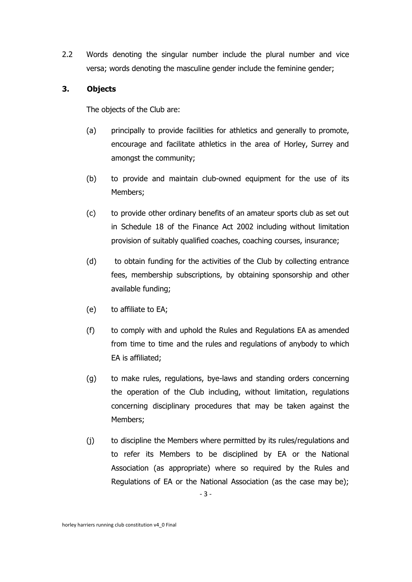2.2 Words denoting the singular number include the plural number and vice versa; words denoting the masculine gender include the feminine gender;

## **3. Objects**

The objects of the Club are:

- (a) principally to provide facilities for athletics and generally to promote, encourage and facilitate athletics in the area of Horley, Surrey and amongst the community;
- (b) to provide and maintain club-owned equipment for the use of its Members;
- (c) to provide other ordinary benefits of an amateur sports club as set out in Schedule 18 of the Finance Act 2002 including without limitation provision of suitably qualified coaches, coaching courses, insurance;
- (d) to obtain funding for the activities of the Club by collecting entrance fees, membership subscriptions, by obtaining sponsorship and other available funding;
- (e) to affiliate to EA;
- (f) to comply with and uphold the Rules and Regulations EA as amended from time to time and the rules and regulations of anybody to which EA is affiliated;
- (g) to make rules, regulations, bye-laws and standing orders concerning the operation of the Club including, without limitation, regulations concerning disciplinary procedures that may be taken against the Members;
- (j) to discipline the Members where permitted by its rules/regulations and to refer its Members to be disciplined by EA or the National Association (as appropriate) where so required by the Rules and Regulations of EA or the National Association (as the case may be);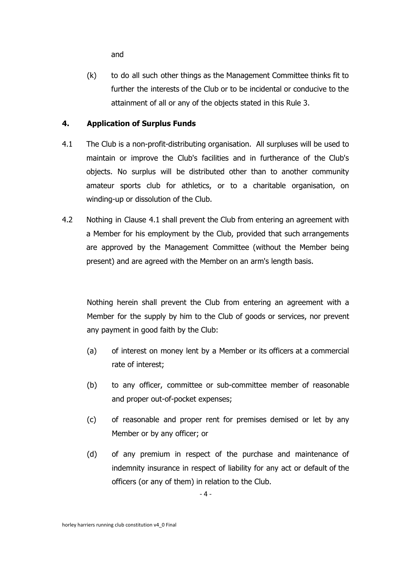and

(k) to do all such other things as the Management Committee thinks fit to further the interests of the Club or to be incidental or conducive to the attainment of all or any of the objects stated in this Rule 3.

## **4. Application of Surplus Funds**

- 4.1 The Club is a non-profit-distributing organisation. All surpluses will be used to maintain or improve the Club's facilities and in furtherance of the Club's objects. No surplus will be distributed other than to another community amateur sports club for athletics, or to a charitable organisation, on winding-up or dissolution of the Club.
- 4.2 Nothing in Clause 4.1 shall prevent the Club from entering an agreement with a Member for his employment by the Club, provided that such arrangements are approved by the Management Committee (without the Member being present) and are agreed with the Member on an arm's length basis.

Nothing herein shall prevent the Club from entering an agreement with a Member for the supply by him to the Club of goods or services, nor prevent any payment in good faith by the Club:

- (a) of interest on money lent by a Member or its officers at a commercial rate of interest;
- (b) to any officer, committee or sub-committee member of reasonable and proper out-of-pocket expenses;
- (c) of reasonable and proper rent for premises demised or let by any Member or by any officer; or
- (d) of any premium in respect of the purchase and maintenance of indemnity insurance in respect of liability for any act or default of the officers (or any of them) in relation to the Club.

- 4 -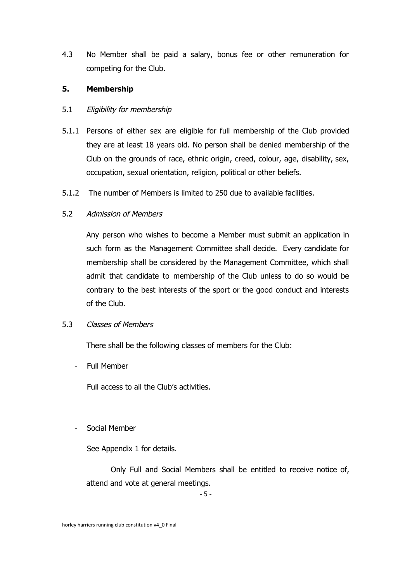4.3 No Member shall be paid a salary, bonus fee or other remuneration for competing for the Club.

#### **5. Membership**

## 5.1 Eligibility for membership

- 5.1.1 Persons of either sex are eligible for full membership of the Club provided they are at least 18 years old. No person shall be denied membership of the Club on the grounds of race, ethnic origin, creed, colour, age, disability, sex, occupation, sexual orientation, religion, political or other beliefs.
- 5.1.2 The number of Members is limited to 250 due to available facilities.

## 5.2 Admission of Members

Any person who wishes to become a Member must submit an application in such form as the Management Committee shall decide. Every candidate for membership shall be considered by the Management Committee, which shall admit that candidate to membership of the Club unless to do so would be contrary to the best interests of the sport or the good conduct and interests of the Club.

#### 5.3 Classes of Members

There shall be the following classes of members for the Club:

- Full Member

Full access to all the Club's activities.

## - Social Member

See Appendix 1 for details.

Only Full and Social Members shall be entitled to receive notice of, attend and vote at general meetings.

- 5 -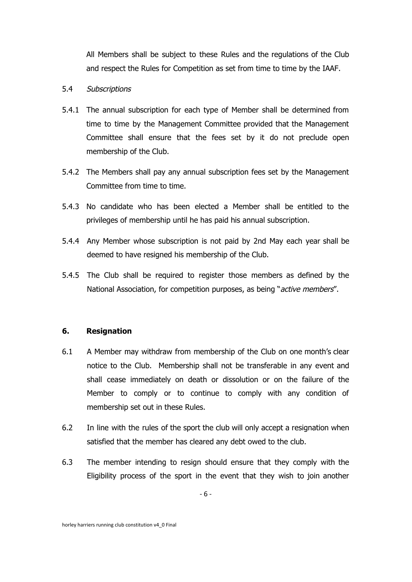All Members shall be subject to these Rules and the regulations of the Club and respect the Rules for Competition as set from time to time by the IAAF.

#### 5.4 Subscriptions

- 5.4.1 The annual subscription for each type of Member shall be determined from time to time by the Management Committee provided that the Management Committee shall ensure that the fees set by it do not preclude open membership of the Club.
- 5.4.2 The Members shall pay any annual subscription fees set by the Management Committee from time to time.
- 5.4.3 No candidate who has been elected a Member shall be entitled to the privileges of membership until he has paid his annual subscription.
- 5.4.4 Any Member whose subscription is not paid by 2nd May each year shall be deemed to have resigned his membership of the Club.
- 5.4.5 The Club shall be required to register those members as defined by the National Association, for competition purposes, as being "active members".

#### **6. Resignation**

- 6.1 A Member may withdraw from membership of the Club on one month's clear notice to the Club. Membership shall not be transferable in any event and shall cease immediately on death or dissolution or on the failure of the Member to comply or to continue to comply with any condition of membership set out in these Rules.
- 6.2 In line with the rules of the sport the club will only accept a resignation when satisfied that the member has cleared any debt owed to the club.
- 6.3 The member intending to resign should ensure that they comply with the Eligibility process of the sport in the event that they wish to join another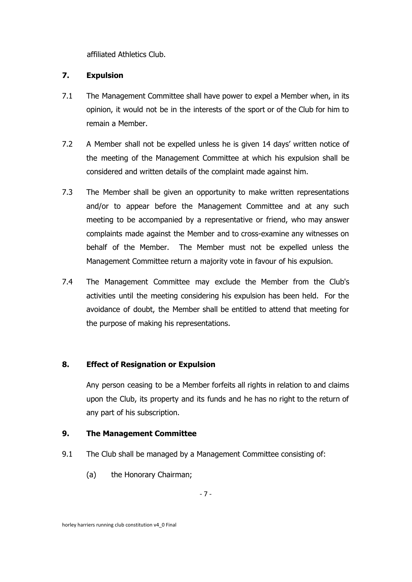affiliated Athletics Club.

## **7. Expulsion**

- 7.1 The Management Committee shall have power to expel a Member when, in its opinion, it would not be in the interests of the sport or of the Club for him to remain a Member.
- 7.2 A Member shall not be expelled unless he is given 14 days' written notice of the meeting of the Management Committee at which his expulsion shall be considered and written details of the complaint made against him.
- 7.3 The Member shall be given an opportunity to make written representations and/or to appear before the Management Committee and at any such meeting to be accompanied by a representative or friend, who may answer complaints made against the Member and to cross-examine any witnesses on behalf of the Member. The Member must not be expelled unless the Management Committee return a majority vote in favour of his expulsion.
- 7.4 The Management Committee may exclude the Member from the Club's activities until the meeting considering his expulsion has been held. For the avoidance of doubt, the Member shall be entitled to attend that meeting for the purpose of making his representations.

## **8. Effect of Resignation or Expulsion**

Any person ceasing to be a Member forfeits all rights in relation to and claims upon the Club, its property and its funds and he has no right to the return of any part of his subscription.

## **9. The Management Committee**

- 9.1 The Club shall be managed by a Management Committee consisting of:
	- (a) the Honorary Chairman;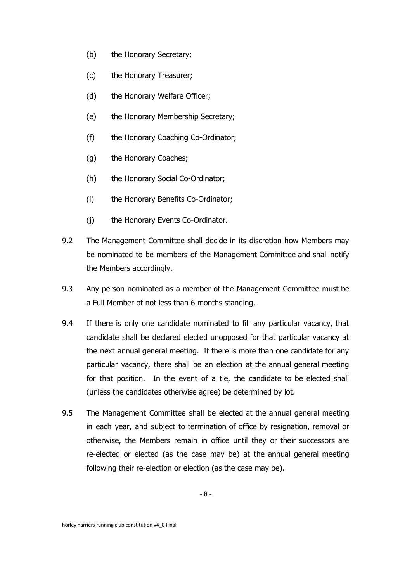- (b) the Honorary Secretary;
- (c) the Honorary Treasurer;
- (d) the Honorary Welfare Officer;
- (e) the Honorary Membership Secretary;
- (f) the Honorary Coaching Co-Ordinator;
- (g) the Honorary Coaches;
- (h) the Honorary Social Co-Ordinator;
- (i) the Honorary Benefits Co-Ordinator;
- (j) the Honorary Events Co-Ordinator.
- 9.2 The Management Committee shall decide in its discretion how Members may be nominated to be members of the Management Committee and shall notify the Members accordingly.
- 9.3 Any person nominated as a member of the Management Committee must be a Full Member of not less than 6 months standing.
- 9.4 If there is only one candidate nominated to fill any particular vacancy, that candidate shall be declared elected unopposed for that particular vacancy at the next annual general meeting. If there is more than one candidate for any particular vacancy, there shall be an election at the annual general meeting for that position. In the event of a tie, the candidate to be elected shall (unless the candidates otherwise agree) be determined by lot.
- 9.5 The Management Committee shall be elected at the annual general meeting in each year, and subject to termination of office by resignation, removal or otherwise, the Members remain in office until they or their successors are re-elected or elected (as the case may be) at the annual general meeting following their re-election or election (as the case may be).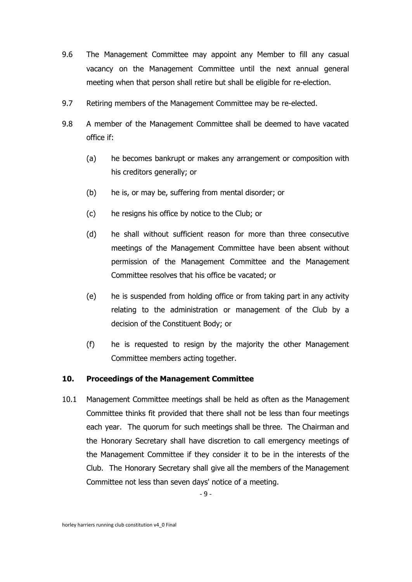- 9.6 The Management Committee may appoint any Member to fill any casual vacancy on the Management Committee until the next annual general meeting when that person shall retire but shall be eligible for re-election.
- 9.7 Retiring members of the Management Committee may be re-elected.
- 9.8 A member of the Management Committee shall be deemed to have vacated office if:
	- (a) he becomes bankrupt or makes any arrangement or composition with his creditors generally; or
	- (b) he is, or may be, suffering from mental disorder; or
	- (c) he resigns his office by notice to the Club; or
	- (d) he shall without sufficient reason for more than three consecutive meetings of the Management Committee have been absent without permission of the Management Committee and the Management Committee resolves that his office be vacated; or
	- (e) he is suspended from holding office or from taking part in any activity relating to the administration or management of the Club by a decision of the Constituent Body; or
	- (f) he is requested to resign by the majority the other Management Committee members acting together.

#### **10. Proceedings of the Management Committee**

10.1 Management Committee meetings shall be held as often as the Management Committee thinks fit provided that there shall not be less than four meetings each year. The quorum for such meetings shall be three. The Chairman and the Honorary Secretary shall have discretion to call emergency meetings of the Management Committee if they consider it to be in the interests of the Club. The Honorary Secretary shall give all the members of the Management Committee not less than seven days' notice of a meeting.

- 9 -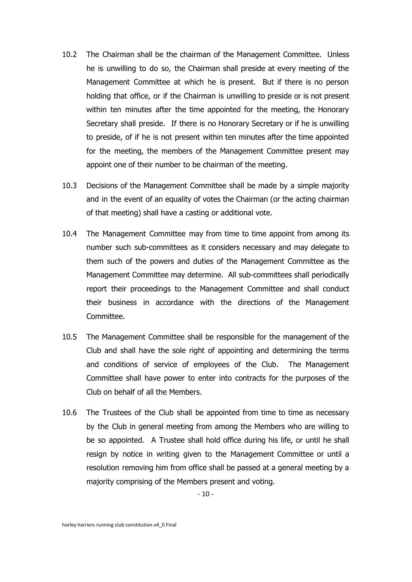- 10.2 The Chairman shall be the chairman of the Management Committee. Unless he is unwilling to do so, the Chairman shall preside at every meeting of the Management Committee at which he is present. But if there is no person holding that office, or if the Chairman is unwilling to preside or is not present within ten minutes after the time appointed for the meeting, the Honorary Secretary shall preside. If there is no Honorary Secretary or if he is unwilling to preside, of if he is not present within ten minutes after the time appointed for the meeting, the members of the Management Committee present may appoint one of their number to be chairman of the meeting.
- 10.3 Decisions of the Management Committee shall be made by a simple majority and in the event of an equality of votes the Chairman (or the acting chairman of that meeting) shall have a casting or additional vote.
- 10.4 The Management Committee may from time to time appoint from among its number such sub-committees as it considers necessary and may delegate to them such of the powers and duties of the Management Committee as the Management Committee may determine. All sub-committees shall periodically report their proceedings to the Management Committee and shall conduct their business in accordance with the directions of the Management Committee.
- 10.5 The Management Committee shall be responsible for the management of the Club and shall have the sole right of appointing and determining the terms and conditions of service of employees of the Club. The Management Committee shall have power to enter into contracts for the purposes of the Club on behalf of all the Members.
- 10.6 The Trustees of the Club shall be appointed from time to time as necessary by the Club in general meeting from among the Members who are willing to be so appointed. A Trustee shall hold office during his life, or until he shall resign by notice in writing given to the Management Committee or until a resolution removing him from office shall be passed at a general meeting by a majority comprising of the Members present and voting.

- 10 -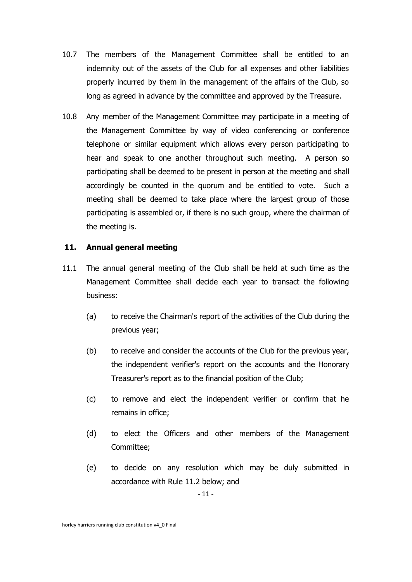- 10.7 The members of the Management Committee shall be entitled to an indemnity out of the assets of the Club for all expenses and other liabilities properly incurred by them in the management of the affairs of the Club, so long as agreed in advance by the committee and approved by the Treasure.
- 10.8 Any member of the Management Committee may participate in a meeting of the Management Committee by way of video conferencing or conference telephone or similar equipment which allows every person participating to hear and speak to one another throughout such meeting. A person so participating shall be deemed to be present in person at the meeting and shall accordingly be counted in the quorum and be entitled to vote. Such a meeting shall be deemed to take place where the largest group of those participating is assembled or, if there is no such group, where the chairman of the meeting is.

## **11. Annual general meeting**

- 11.1 The annual general meeting of the Club shall be held at such time as the Management Committee shall decide each year to transact the following business:
	- (a) to receive the Chairman's report of the activities of the Club during the previous year;
	- (b) to receive and consider the accounts of the Club for the previous year, the independent verifier's report on the accounts and the Honorary Treasurer's report as to the financial position of the Club;
	- (c) to remove and elect the independent verifier or confirm that he remains in office;
	- (d) to elect the Officers and other members of the Management Committee;
	- (e) to decide on any resolution which may be duly submitted in accordance with Rule 11.2 below; and

- 11 -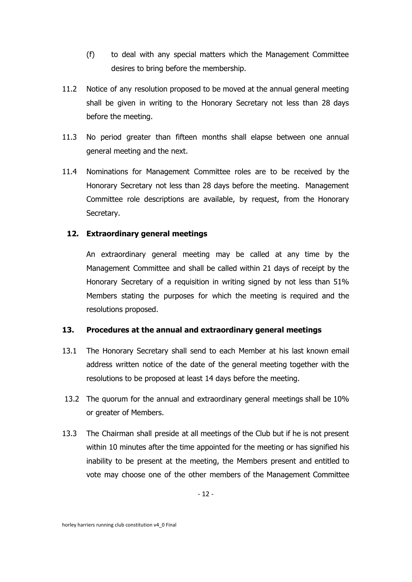- (f) to deal with any special matters which the Management Committee desires to bring before the membership.
- 11.2 Notice of any resolution proposed to be moved at the annual general meeting shall be given in writing to the Honorary Secretary not less than 28 days before the meeting.
- 11.3 No period greater than fifteen months shall elapse between one annual general meeting and the next.
- 11.4 Nominations for Management Committee roles are to be received by the Honorary Secretary not less than 28 days before the meeting. Management Committee role descriptions are available, by request, from the Honorary Secretary.

## **12. Extraordinary general meetings**

An extraordinary general meeting may be called at any time by the Management Committee and shall be called within 21 days of receipt by the Honorary Secretary of a requisition in writing signed by not less than 51% Members stating the purposes for which the meeting is required and the resolutions proposed.

## **13. Procedures at the annual and extraordinary general meetings**

- 13.1 The Honorary Secretary shall send to each Member at his last known email address written notice of the date of the general meeting together with the resolutions to be proposed at least 14 days before the meeting.
- 13.2 The quorum for the annual and extraordinary general meetings shall be 10% or greater of Members.
- 13.3 The Chairman shall preside at all meetings of the Club but if he is not present within 10 minutes after the time appointed for the meeting or has signified his inability to be present at the meeting, the Members present and entitled to vote may choose one of the other members of the Management Committee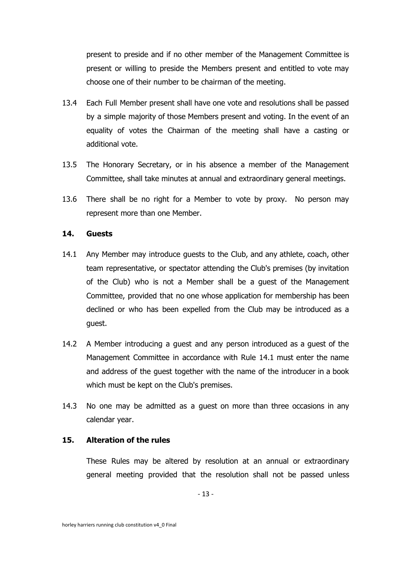present to preside and if no other member of the Management Committee is present or willing to preside the Members present and entitled to vote may choose one of their number to be chairman of the meeting.

- 13.4 Each Full Member present shall have one vote and resolutions shall be passed by a simple majority of those Members present and voting. In the event of an equality of votes the Chairman of the meeting shall have a casting or additional vote.
- 13.5 The Honorary Secretary, or in his absence a member of the Management Committee, shall take minutes at annual and extraordinary general meetings.
- 13.6 There shall be no right for a Member to vote by proxy. No person may represent more than one Member.

#### **14. Guests**

- 14.1 Any Member may introduce guests to the Club, and any athlete, coach, other team representative, or spectator attending the Club's premises (by invitation of the Club) who is not a Member shall be a guest of the Management Committee, provided that no one whose application for membership has been declined or who has been expelled from the Club may be introduced as a guest.
- 14.2 A Member introducing a guest and any person introduced as a guest of the Management Committee in accordance with Rule 14.1 must enter the name and address of the guest together with the name of the introducer in a book which must be kept on the Club's premises.
- 14.3 No one may be admitted as a guest on more than three occasions in any calendar year.

#### **15. Alteration of the rules**

These Rules may be altered by resolution at an annual or extraordinary general meeting provided that the resolution shall not be passed unless

- 13 -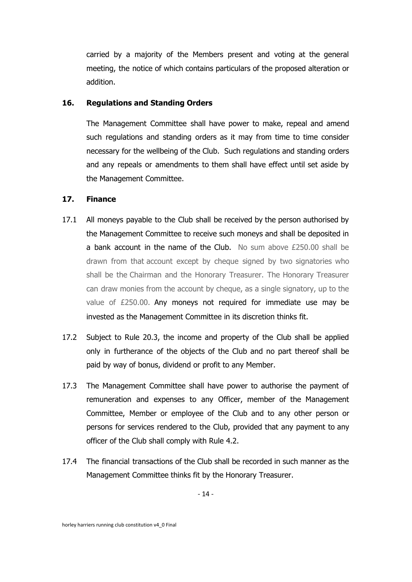carried by a majority of the Members present and voting at the general meeting, the notice of which contains particulars of the proposed alteration or addition.

#### **16. Regulations and Standing Orders**

The Management Committee shall have power to make, repeal and amend such regulations and standing orders as it may from time to time consider necessary for the wellbeing of the Club. Such regulations and standing orders and any repeals or amendments to them shall have effect until set aside by the Management Committee.

#### **17. Finance**

- 17.1 All moneys payable to the Club shall be received by the person authorised by the Management Committee to receive such moneys and shall be deposited in a bank account in the name of the Club. No sum above  $£250.00$  shall be drawn from that account except by cheque signed by two signatories who shall be the Chairman and the Honorary Treasurer. The Honorary Treasurer can draw monies from the account by cheque, as a single signatory, up to the value of £250.00. Any moneys not required for immediate use may be invested as the Management Committee in its discretion thinks fit.
- 17.2 Subject to Rule 20.3, the income and property of the Club shall be applied only in furtherance of the objects of the Club and no part thereof shall be paid by way of bonus, dividend or profit to any Member.
- 17.3 The Management Committee shall have power to authorise the payment of remuneration and expenses to any Officer, member of the Management Committee, Member or employee of the Club and to any other person or persons for services rendered to the Club, provided that any payment to any officer of the Club shall comply with Rule 4.2.
- 17.4 The financial transactions of the Club shall be recorded in such manner as the Management Committee thinks fit by the Honorary Treasurer.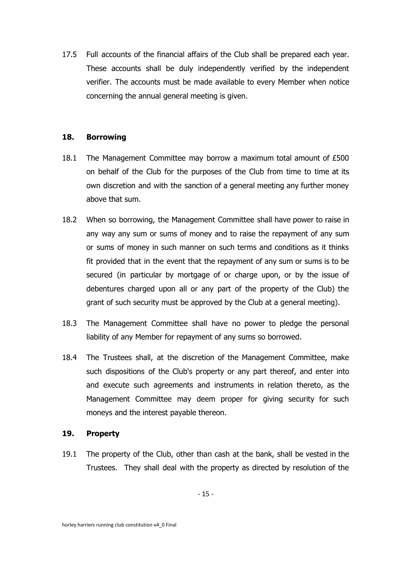17.5 Full accounts of the financial affairs of the Club shall be prepared each year. These accounts shall be duly independently verified by the independent verifier. The accounts must be made available to every Member when notice concerning the annual general meeting is given.

#### **18. Borrowing**

- 18.1 The Management Committee may borrow a maximum total amount of £500 on behalf of the Club for the purposes of the Club from time to time at its own discretion and with the sanction of a general meeting any further money above that sum.
- 18.2 When so borrowing, the Management Committee shall have power to raise in any way any sum or sums of money and to raise the repayment of any sum or sums of money in such manner on such terms and conditions as it thinks fit provided that in the event that the repayment of any sum or sums is to be secured (in particular by mortgage of or charge upon, or by the issue of debentures charged upon all or any part of the property of the Club) the grant of such security must be approved by the Club at a general meeting).
- 18.3 The Management Committee shall have no power to pledge the personal liability of any Member for repayment of any sums so borrowed.
- 18.4 The Trustees shall, at the discretion of the Management Committee, make such dispositions of the Club's property or any part thereof, and enter into and execute such agreements and instruments in relation thereto, as the Management Committee may deem proper for giving security for such moneys and the interest payable thereon.

#### **19. Property**

19.1 The property of the Club, other than cash at the bank, shall be vested in the Trustees. They shall deal with the property as directed by resolution of the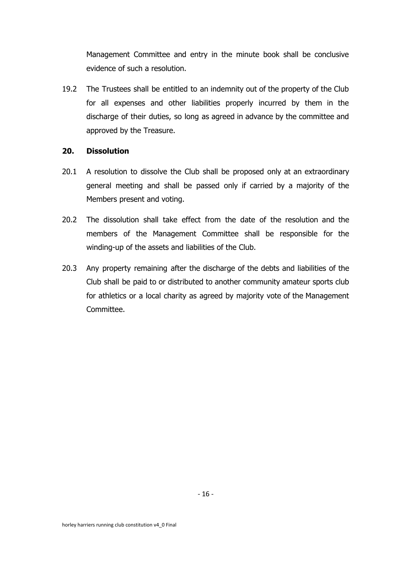Management Committee and entry in the minute book shall be conclusive evidence of such a resolution.

19.2 The Trustees shall be entitled to an indemnity out of the property of the Club for all expenses and other liabilities properly incurred by them in the discharge of their duties, so long as agreed in advance by the committee and approved by the Treasure.

## **20. Dissolution**

- 20.1 A resolution to dissolve the Club shall be proposed only at an extraordinary general meeting and shall be passed only if carried by a majority of the Members present and voting.
- 20.2 The dissolution shall take effect from the date of the resolution and the members of the Management Committee shall be responsible for the winding-up of the assets and liabilities of the Club.
- 20.3 Any property remaining after the discharge of the debts and liabilities of the Club shall be paid to or distributed to another community amateur sports club for athletics or a local charity as agreed by majority vote of the Management Committee.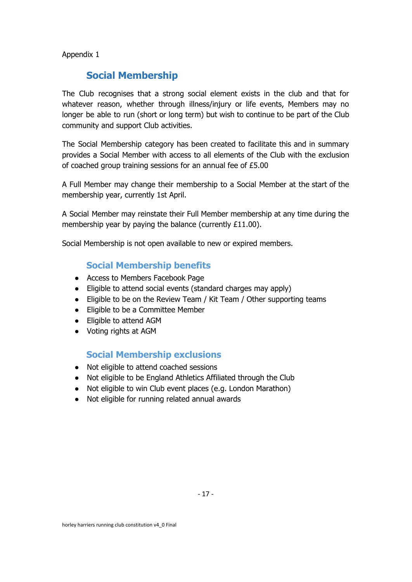Appendix 1

# **Social Membership**

The Club recognises that a strong social element exists in the club and that for whatever reason, whether through illness/injury or life events, Members may no longer be able to run (short or long term) but wish to continue to be part of the Club community and support Club activities.

The Social Membership category has been created to facilitate this and in summary provides a Social Member with access to all elements of the Club with the exclusion of coached group training sessions for an annual fee of £5.00

A Full Member may change their membership to a Social Member at the start of the membership year, currently 1st April.

A Social Member may reinstate their Full Member membership at any time during the membership year by paying the balance (currently £11.00).

Social Membership is not open available to new or expired members.

## **Social Membership benefits**

- Access to Members Facebook Page
- Eligible to attend social events (standard charges may apply)
- Eligible to be on the Review Team / Kit Team / Other supporting teams
- Eligible to be a Committee Member
- Eligible to attend AGM
- Voting rights at AGM

## **Social Membership exclusions**

- Not eligible to attend coached sessions
- Not eligible to be England Athletics Affiliated through the Club
- Not eligible to win Club event places (e.g. London Marathon)
- Not eligible for running related annual awards